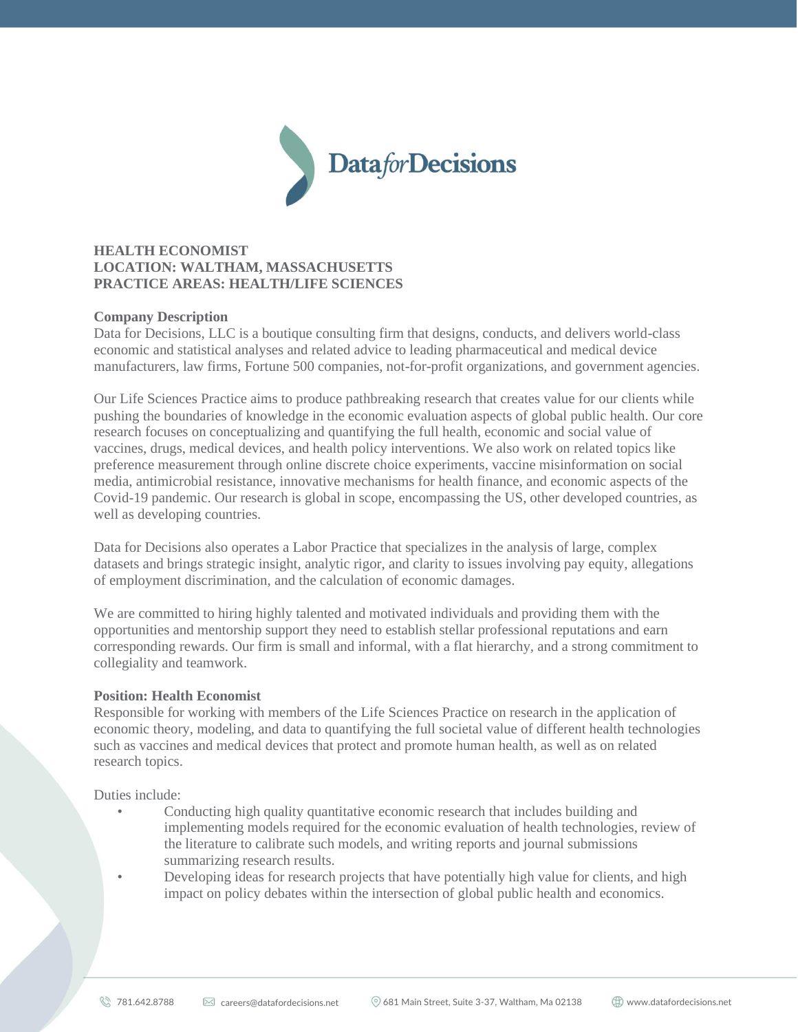

# **HEALTH ECONOMIST LOCATION: WALTHAM, MASSACHUSETTS PRACTICE AREAS: HEALTH/LIFE SCIENCES**

## **Company Description**

Data for Decisions, LLC is a boutique consulting firm that designs, conducts, and delivers world-class economic and statistical analyses and related advice to leading pharmaceutical and medical device manufacturers, law firms, Fortune 500 companies, not-for-profit organizations, and government agencies.

Our Life Sciences Practice aims to produce pathbreaking research that creates value for our clients while pushing the boundaries of knowledge in the economic evaluation aspects of global public health. Our core research focuses on conceptualizing and quantifying the full health, economic and social value of vaccines, drugs, medical devices, and health policy interventions. We also work on related topics like preference measurement through online discrete choice experiments, vaccine misinformation on social media, antimicrobial resistance, innovative mechanisms for health finance, and economic aspects of the Covid-19 pandemic. Our research is global in scope, encompassing the US, other developed countries, as well as developing countries.

Data for Decisions also operates a Labor Practice that specializes in the analysis of large, complex datasets and brings strategic insight, analytic rigor, and clarity to issues involving pay equity, allegations of employment discrimination, and the calculation of economic damages.

We are committed to hiring highly talented and motivated individuals and providing them with the opportunities and mentorship support they need to establish stellar professional reputations and earn corresponding rewards. Our firm is small and informal, with a flat hierarchy, and a strong commitment to collegiality and teamwork.

#### **Position: Health Economist**

Responsible for working with members of the Life Sciences Practice on research in the application of economic theory, modeling, and data to quantifying the full societal value of different health technologies such as vaccines and medical devices that protect and promote human health, as well as on related research topics.

Duties include:

- Conducting high quality quantitative economic research that includes building and implementing models required for the economic evaluation of health technologies, review of the literature to calibrate such models, and writing reports and journal submissions summarizing research results.
- Developing ideas for research projects that have potentially high value for clients, and high impact on policy debates within the intersection of global public health and economics.

 $\%$  781.642.8788  $\boxtimes$  careers@datafordecisions.net  $\%$  681 Main Street, Suite 3-37, Waltham, Ma 02138  $\oplus$  www.datafordecisions.net